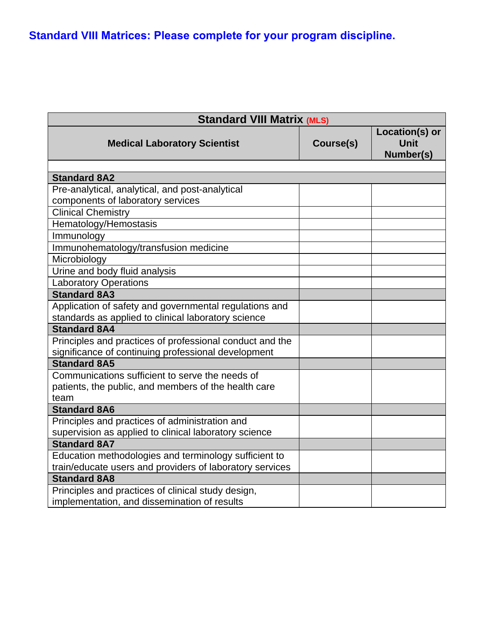**Standard VIII Matrices: Please complete for your program discipline.**

| <b>Standard VIII Matrix (MLS)</b>                        |           |                                            |
|----------------------------------------------------------|-----------|--------------------------------------------|
| <b>Medical Laboratory Scientist</b>                      | Course(s) | Location(s) or<br><b>Unit</b><br>Number(s) |
|                                                          |           |                                            |
| <b>Standard 8A2</b>                                      |           |                                            |
| Pre-analytical, analytical, and post-analytical          |           |                                            |
| components of laboratory services                        |           |                                            |
| <b>Clinical Chemistry</b>                                |           |                                            |
| Hematology/Hemostasis                                    |           |                                            |
| Immunology                                               |           |                                            |
| Immunohematology/transfusion medicine                    |           |                                            |
| Microbiology                                             |           |                                            |
| Urine and body fluid analysis                            |           |                                            |
| <b>Laboratory Operations</b>                             |           |                                            |
| <b>Standard 8A3</b>                                      |           |                                            |
| Application of safety and governmental regulations and   |           |                                            |
| standards as applied to clinical laboratory science      |           |                                            |
| <b>Standard 8A4</b>                                      |           |                                            |
| Principles and practices of professional conduct and the |           |                                            |
| significance of continuing professional development      |           |                                            |
| <b>Standard 8A5</b>                                      |           |                                            |
| Communications sufficient to serve the needs of          |           |                                            |
| patients, the public, and members of the health care     |           |                                            |
| team                                                     |           |                                            |
| <b>Standard 8A6</b>                                      |           |                                            |
| Principles and practices of administration and           |           |                                            |
| supervision as applied to clinical laboratory science    |           |                                            |
| <b>Standard 8A7</b>                                      |           |                                            |
| Education methodologies and terminology sufficient to    |           |                                            |
| train/educate users and providers of laboratory services |           |                                            |
| <b>Standard 8A8</b>                                      |           |                                            |
| Principles and practices of clinical study design,       |           |                                            |
| implementation, and dissemination of results             |           |                                            |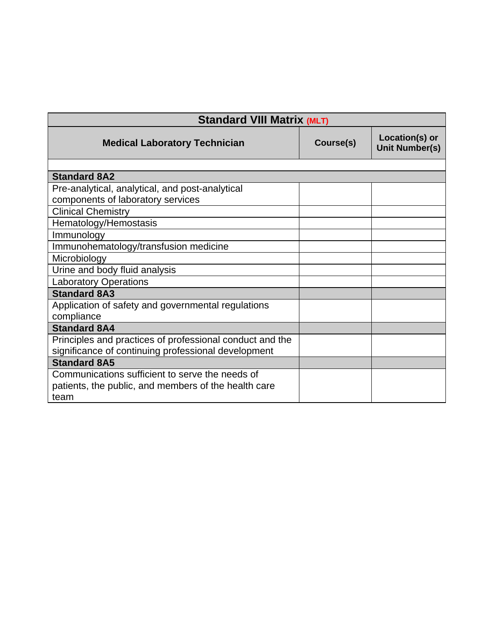| <b>Standard VIII Matrix (MLT)</b>                        |           |                                         |
|----------------------------------------------------------|-----------|-----------------------------------------|
| <b>Medical Laboratory Technician</b>                     | Course(s) | Location(s) or<br><b>Unit Number(s)</b> |
|                                                          |           |                                         |
| <b>Standard 8A2</b>                                      |           |                                         |
| Pre-analytical, analytical, and post-analytical          |           |                                         |
| components of laboratory services                        |           |                                         |
| <b>Clinical Chemistry</b>                                |           |                                         |
| Hematology/Hemostasis                                    |           |                                         |
| Immunology                                               |           |                                         |
| Immunohematology/transfusion medicine                    |           |                                         |
| Microbiology                                             |           |                                         |
| Urine and body fluid analysis                            |           |                                         |
| <b>Laboratory Operations</b>                             |           |                                         |
| <b>Standard 8A3</b>                                      |           |                                         |
| Application of safety and governmental regulations       |           |                                         |
| compliance                                               |           |                                         |
| <b>Standard 8A4</b>                                      |           |                                         |
| Principles and practices of professional conduct and the |           |                                         |
| significance of continuing professional development      |           |                                         |
| <b>Standard 8A5</b>                                      |           |                                         |
| Communications sufficient to serve the needs of          |           |                                         |
| patients, the public, and members of the health care     |           |                                         |
| team                                                     |           |                                         |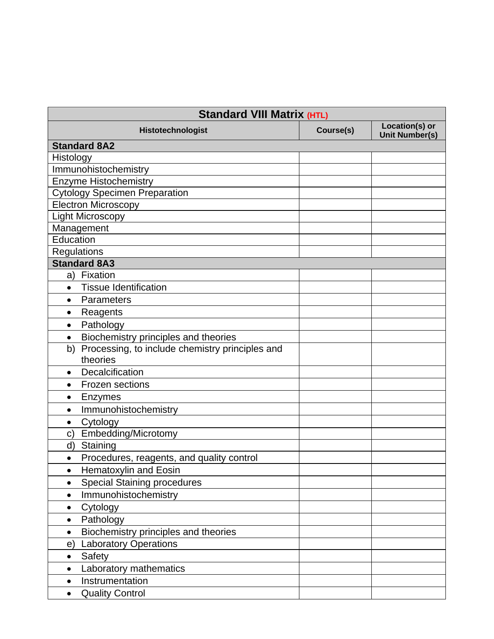| <b>Standard VIII Matrix (HTL)</b>                      |           |                                         |
|--------------------------------------------------------|-----------|-----------------------------------------|
| Histotechnologist                                      | Course(s) | Location(s) or<br><b>Unit Number(s)</b> |
| <b>Standard 8A2</b>                                    |           |                                         |
| Histology                                              |           |                                         |
| Immunohistochemistry                                   |           |                                         |
| <b>Enzyme Histochemistry</b>                           |           |                                         |
| <b>Cytology Specimen Preparation</b>                   |           |                                         |
| <b>Electron Microscopy</b>                             |           |                                         |
| <b>Light Microscopy</b>                                |           |                                         |
| Management                                             |           |                                         |
| Education                                              |           |                                         |
| Regulations                                            |           |                                         |
| <b>Standard 8A3</b>                                    |           |                                         |
| a) Fixation                                            |           |                                         |
| <b>Tissue Identification</b><br>$\bullet$              |           |                                         |
| Parameters<br>$\bullet$                                |           |                                         |
| Reagents<br>$\bullet$                                  |           |                                         |
| Pathology<br>$\bullet$                                 |           |                                         |
| Biochemistry principles and theories<br>$\bullet$      |           |                                         |
| Processing, to include chemistry principles and<br>b)  |           |                                         |
| theories                                               |           |                                         |
| Decalcification<br>$\bullet$                           |           |                                         |
| <b>Frozen sections</b><br>$\bullet$                    |           |                                         |
| <b>Enzymes</b><br>$\bullet$                            |           |                                         |
| Immunohistochemistry<br>$\bullet$                      |           |                                         |
| Cytology<br>$\bullet$                                  |           |                                         |
| Embedding/Microtomy<br>C)                              |           |                                         |
| Staining<br>d)                                         |           |                                         |
| Procedures, reagents, and quality control<br>$\bullet$ |           |                                         |
| Hematoxylin and Eosin<br>٠                             |           |                                         |
| <b>Special Staining procedures</b><br>$\bullet$        |           |                                         |
| Immunohistochemistry<br>$\bullet$                      |           |                                         |
| Cytology<br>$\bullet$                                  |           |                                         |
| Pathology<br>٠                                         |           |                                         |
| Biochemistry principles and theories<br>$\bullet$      |           |                                         |
| <b>Laboratory Operations</b><br>$\epsilon$             |           |                                         |
| Safety<br>$\bullet$                                    |           |                                         |
| Laboratory mathematics<br>$\bullet$                    |           |                                         |
| Instrumentation<br>$\bullet$                           |           |                                         |
| <b>Quality Control</b><br>$\bullet$                    |           |                                         |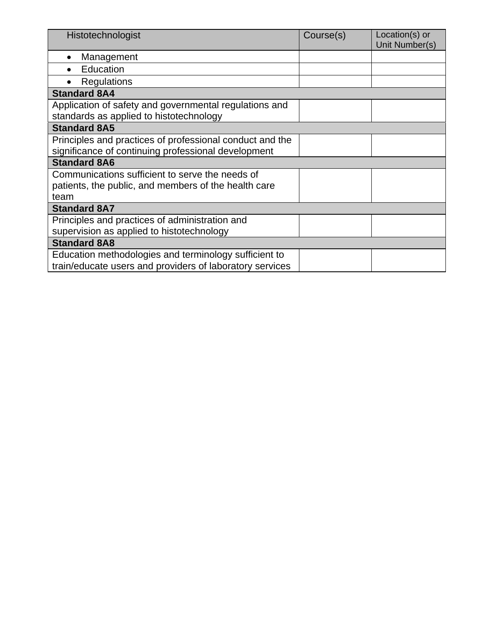| Histotechnologist                                        | Course(s) | Location(s) or<br>Unit Number(s) |
|----------------------------------------------------------|-----------|----------------------------------|
| Management                                               |           |                                  |
| Education                                                |           |                                  |
| Regulations                                              |           |                                  |
| <b>Standard 8A4</b>                                      |           |                                  |
| Application of safety and governmental regulations and   |           |                                  |
| standards as applied to histotechnology                  |           |                                  |
| <b>Standard 8A5</b>                                      |           |                                  |
| Principles and practices of professional conduct and the |           |                                  |
| significance of continuing professional development      |           |                                  |
| <b>Standard 8A6</b>                                      |           |                                  |
| Communications sufficient to serve the needs of          |           |                                  |
| patients, the public, and members of the health care     |           |                                  |
| team                                                     |           |                                  |
| <b>Standard 8A7</b>                                      |           |                                  |
| Principles and practices of administration and           |           |                                  |
| supervision as applied to histotechnology                |           |                                  |
| <b>Standard 8A8</b>                                      |           |                                  |
| Education methodologies and terminology sufficient to    |           |                                  |
| train/educate users and providers of laboratory services |           |                                  |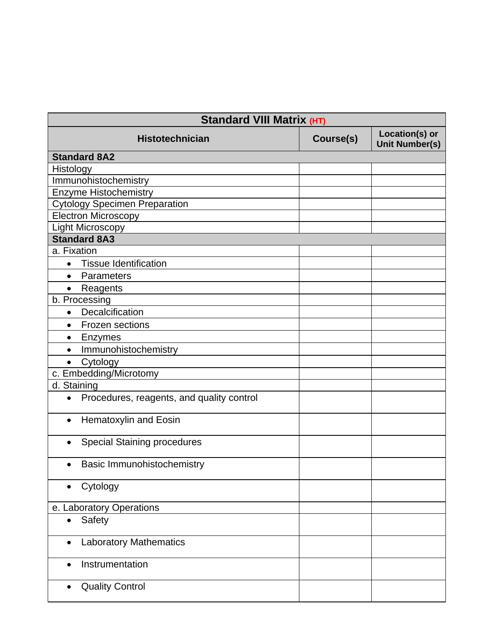| Standard VIII Matrix (HT)                              |           |                                         |
|--------------------------------------------------------|-----------|-----------------------------------------|
| <b>Histotechnician</b>                                 | Course(s) | Location(s) or<br><b>Unit Number(s)</b> |
| <b>Standard 8A2</b>                                    |           |                                         |
| Histology                                              |           |                                         |
| Immunohistochemistry                                   |           |                                         |
| <b>Enzyme Histochemistry</b>                           |           |                                         |
| <b>Cytology Specimen Preparation</b>                   |           |                                         |
| <b>Electron Microscopy</b>                             |           |                                         |
| <b>Light Microscopy</b>                                |           |                                         |
| <b>Standard 8A3</b>                                    |           |                                         |
| a. Fixation                                            |           |                                         |
| <b>Tissue Identification</b><br>$\bullet$              |           |                                         |
| Parameters<br>$\bullet$                                |           |                                         |
| Reagents<br>$\bullet$                                  |           |                                         |
| b. Processing                                          |           |                                         |
| Decalcification<br>$\bullet$                           |           |                                         |
| Frozen sections<br>$\bullet$                           |           |                                         |
| Enzymes<br>$\bullet$                                   |           |                                         |
| Immunohistochemistry<br>$\bullet$                      |           |                                         |
| Cytology                                               |           |                                         |
| c. Embedding/Microtomy                                 |           |                                         |
| d. Staining                                            |           |                                         |
| Procedures, reagents, and quality control<br>$\bullet$ |           |                                         |
| Hematoxylin and Eosin<br>$\bullet$                     |           |                                         |
| <b>Special Staining procedures</b><br>$\bullet$        |           |                                         |
| Basic Immunohistochemistry<br>$\bullet$                |           |                                         |
| Cytology                                               |           |                                         |
| e. Laboratory Operations                               |           |                                         |
| Safety<br>$\bullet$                                    |           |                                         |
| <b>Laboratory Mathematics</b><br>$\bullet$             |           |                                         |
| Instrumentation<br>$\bullet$                           |           |                                         |
| <b>Quality Control</b><br>$\bullet$                    |           |                                         |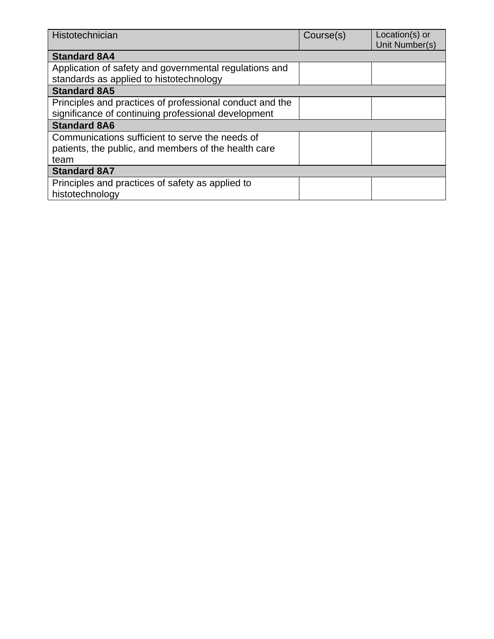| Histotechnician                                                                                         | Course(s) | Location(s) or<br>Unit Number(s) |
|---------------------------------------------------------------------------------------------------------|-----------|----------------------------------|
| <b>Standard 8A4</b>                                                                                     |           |                                  |
| Application of safety and governmental regulations and<br>standards as applied to histotechnology       |           |                                  |
| <b>Standard 8A5</b>                                                                                     |           |                                  |
| Principles and practices of professional conduct and the                                                |           |                                  |
| significance of continuing professional development                                                     |           |                                  |
| <b>Standard 8A6</b>                                                                                     |           |                                  |
| Communications sufficient to serve the needs of<br>patients, the public, and members of the health care |           |                                  |
| team                                                                                                    |           |                                  |
| <b>Standard 8A7</b>                                                                                     |           |                                  |
| Principles and practices of safety as applied to<br>histotechnology                                     |           |                                  |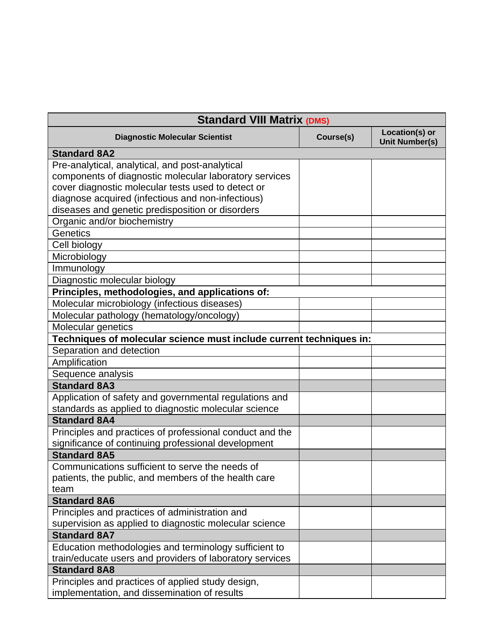| <b>Standard VIII Matrix (DMS)</b>                                   |           |                                         |
|---------------------------------------------------------------------|-----------|-----------------------------------------|
| <b>Diagnostic Molecular Scientist</b>                               | Course(s) | Location(s) or<br><b>Unit Number(s)</b> |
| <b>Standard 8A2</b>                                                 |           |                                         |
| Pre-analytical, analytical, and post-analytical                     |           |                                         |
| components of diagnostic molecular laboratory services              |           |                                         |
| cover diagnostic molecular tests used to detect or                  |           |                                         |
| diagnose acquired (infectious and non-infectious)                   |           |                                         |
| diseases and genetic predisposition or disorders                    |           |                                         |
| Organic and/or biochemistry                                         |           |                                         |
| <b>Genetics</b>                                                     |           |                                         |
| Cell biology                                                        |           |                                         |
| Microbiology                                                        |           |                                         |
| Immunology                                                          |           |                                         |
| Diagnostic molecular biology                                        |           |                                         |
| Principles, methodologies, and applications of:                     |           |                                         |
| Molecular microbiology (infectious diseases)                        |           |                                         |
| Molecular pathology (hematology/oncology)                           |           |                                         |
| Molecular genetics                                                  |           |                                         |
| Techniques of molecular science must include current techniques in: |           |                                         |
| Separation and detection                                            |           |                                         |
| Amplification                                                       |           |                                         |
| Sequence analysis                                                   |           |                                         |
| <b>Standard 8A3</b>                                                 |           |                                         |
| Application of safety and governmental regulations and              |           |                                         |
| standards as applied to diagnostic molecular science                |           |                                         |
| <b>Standard 8A4</b>                                                 |           |                                         |
| Principles and practices of professional conduct and the            |           |                                         |
| significance of continuing professional development                 |           |                                         |
| <b>Standard 8A5</b>                                                 |           |                                         |
| Communications sufficient to serve the needs of                     |           |                                         |
| patients, the public, and members of the health care                |           |                                         |
| team                                                                |           |                                         |
| <b>Standard 8A6</b>                                                 |           |                                         |
| Principles and practices of administration and                      |           |                                         |
| supervision as applied to diagnostic molecular science              |           |                                         |
| <b>Standard 8A7</b>                                                 |           |                                         |
| Education methodologies and terminology sufficient to               |           |                                         |
| train/educate users and providers of laboratory services            |           |                                         |
| <b>Standard 8A8</b>                                                 |           |                                         |
| Principles and practices of applied study design,                   |           |                                         |
| implementation, and dissemination of results                        |           |                                         |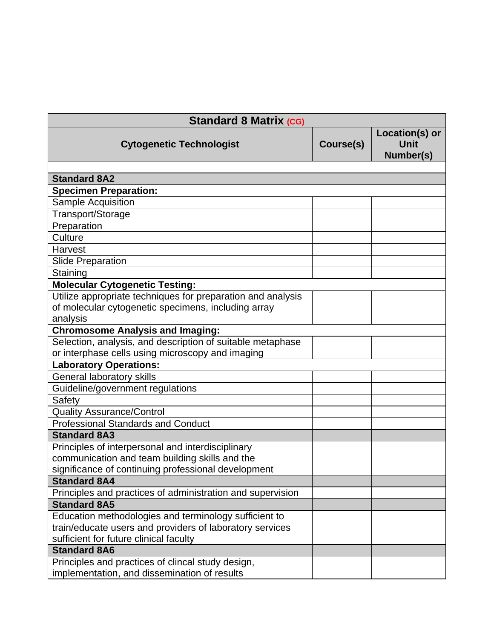| <b>Standard 8 Matrix (CG)</b>                               |           |                                            |
|-------------------------------------------------------------|-----------|--------------------------------------------|
| <b>Cytogenetic Technologist</b>                             | Course(s) | Location(s) or<br><b>Unit</b><br>Number(s) |
|                                                             |           |                                            |
| <b>Standard 8A2</b>                                         |           |                                            |
| <b>Specimen Preparation:</b>                                |           |                                            |
| Sample Acquisition                                          |           |                                            |
| Transport/Storage                                           |           |                                            |
| Preparation                                                 |           |                                            |
| Culture                                                     |           |                                            |
| Harvest                                                     |           |                                            |
| <b>Slide Preparation</b>                                    |           |                                            |
| Staining                                                    |           |                                            |
| <b>Molecular Cytogenetic Testing:</b>                       |           |                                            |
| Utilize appropriate techniques for preparation and analysis |           |                                            |
| of molecular cytogenetic specimens, including array         |           |                                            |
| analysis                                                    |           |                                            |
| <b>Chromosome Analysis and Imaging:</b>                     |           |                                            |
| Selection, analysis, and description of suitable metaphase  |           |                                            |
| or interphase cells using microscopy and imaging            |           |                                            |
| <b>Laboratory Operations:</b>                               |           |                                            |
| General laboratory skills                                   |           |                                            |
| Guideline/government regulations                            |           |                                            |
| Safety                                                      |           |                                            |
| <b>Quality Assurance/Control</b>                            |           |                                            |
| <b>Professional Standards and Conduct</b>                   |           |                                            |
| <b>Standard 8A3</b>                                         |           |                                            |
| Principles of interpersonal and interdisciplinary           |           |                                            |
| communication and team building skills and the              |           |                                            |
| significance of continuing professional development         |           |                                            |
| <b>Standard 8A4</b>                                         |           |                                            |
| Principles and practices of administration and supervision  |           |                                            |
| <b>Standard 8A5</b>                                         |           |                                            |
| Education methodologies and terminology sufficient to       |           |                                            |
| train/educate users and providers of laboratory services    |           |                                            |
| sufficient for future clinical faculty                      |           |                                            |
| <b>Standard 8A6</b>                                         |           |                                            |
| Principles and practices of clincal study design,           |           |                                            |
| implementation, and dissemination of results                |           |                                            |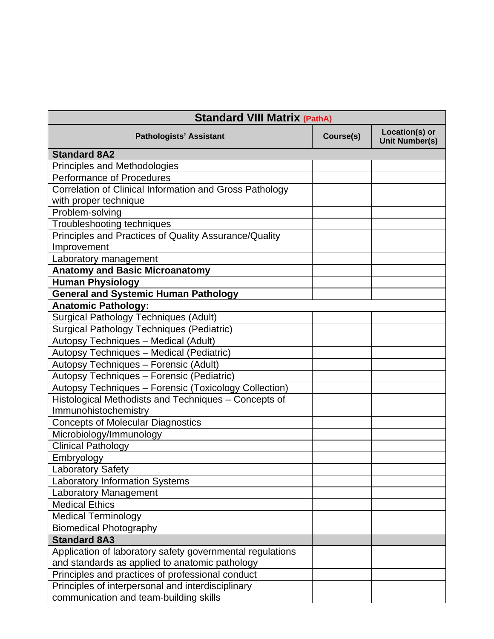| <b>Standard VIII Matrix (PathA)</b>                                          |           |                                         |
|------------------------------------------------------------------------------|-----------|-----------------------------------------|
| <b>Pathologists' Assistant</b>                                               | Course(s) | Location(s) or<br><b>Unit Number(s)</b> |
| <b>Standard 8A2</b>                                                          |           |                                         |
| Principles and Methodologies                                                 |           |                                         |
| <b>Performance of Procedures</b>                                             |           |                                         |
| Correlation of Clinical Information and Gross Pathology                      |           |                                         |
| with proper technique                                                        |           |                                         |
| Problem-solving                                                              |           |                                         |
| Troubleshooting techniques                                                   |           |                                         |
| Principles and Practices of Quality Assurance/Quality<br>Improvement         |           |                                         |
| Laboratory management                                                        |           |                                         |
| <b>Anatomy and Basic Microanatomy</b>                                        |           |                                         |
| <b>Human Physiology</b>                                                      |           |                                         |
| <b>General and Systemic Human Pathology</b>                                  |           |                                         |
| <b>Anatomic Pathology:</b>                                                   |           |                                         |
| <b>Surgical Pathology Techniques (Adult)</b>                                 |           |                                         |
| <b>Surgical Pathology Techniques (Pediatric)</b>                             |           |                                         |
| Autopsy Techniques - Medical (Adult)                                         |           |                                         |
| Autopsy Techniques - Medical (Pediatric)                                     |           |                                         |
| Autopsy Techniques - Forensic (Adult)                                        |           |                                         |
| Autopsy Techniques - Forensic (Pediatric)                                    |           |                                         |
| Autopsy Techniques - Forensic (Toxicology Collection)                        |           |                                         |
| Histological Methodists and Techniques - Concepts of<br>Immunohistochemistry |           |                                         |
| <b>Concepts of Molecular Diagnostics</b>                                     |           |                                         |
| Microbiology/Immunology                                                      |           |                                         |
| <b>Clinical Pathology</b>                                                    |           |                                         |
| Embryology                                                                   |           |                                         |
| aboratory Safety                                                             |           |                                         |
| <b>Laboratory Information Systems</b>                                        |           |                                         |
| Laboratory Management                                                        |           |                                         |
| <b>Medical Ethics</b>                                                        |           |                                         |
| <b>Medical Terminology</b>                                                   |           |                                         |
| <b>Biomedical Photography</b>                                                |           |                                         |
| <b>Standard 8A3</b>                                                          |           |                                         |
| Application of laboratory safety governmental regulations                    |           |                                         |
| and standards as applied to anatomic pathology                               |           |                                         |
| Principles and practices of professional conduct                             |           |                                         |
| Principles of interpersonal and interdisciplinary                            |           |                                         |
| communication and team-building skills                                       |           |                                         |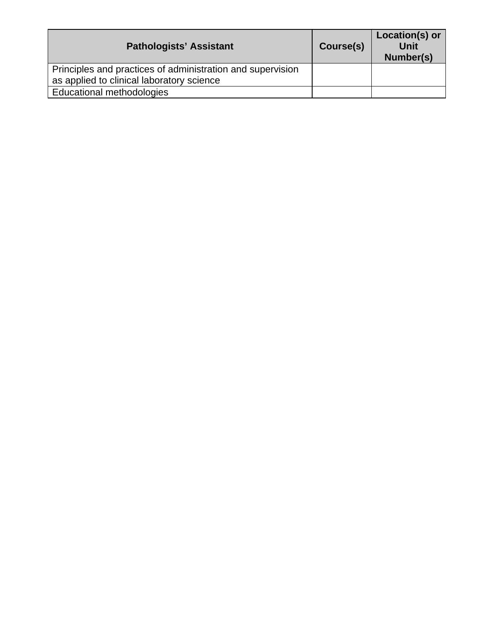| <b>Pathologists' Assistant</b>                                                                          | Course(s) | Location(s) or<br><b>Unit</b><br>Number(s) |
|---------------------------------------------------------------------------------------------------------|-----------|--------------------------------------------|
| Principles and practices of administration and supervision<br>as applied to clinical laboratory science |           |                                            |
| Educational methodologies                                                                               |           |                                            |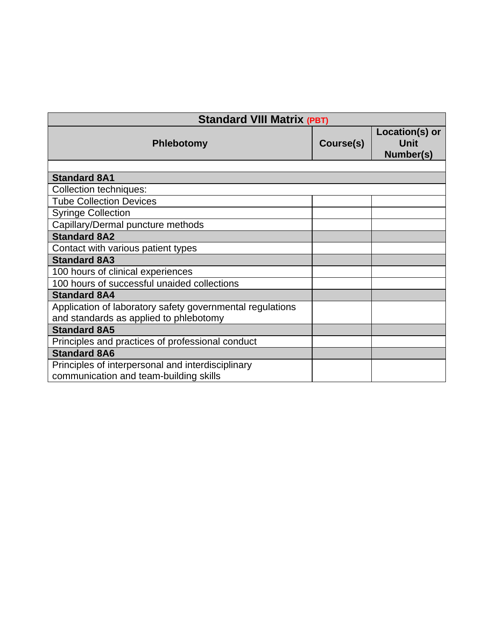| <b>Standard VIII Matrix (PBT)</b>                         |           |                                            |
|-----------------------------------------------------------|-----------|--------------------------------------------|
| <b>Phlebotomy</b>                                         | Course(s) | Location(s) or<br><b>Unit</b><br>Number(s) |
|                                                           |           |                                            |
| <b>Standard 8A1</b>                                       |           |                                            |
| <b>Collection techniques:</b>                             |           |                                            |
| <b>Tube Collection Devices</b>                            |           |                                            |
| <b>Syringe Collection</b>                                 |           |                                            |
| Capillary/Dermal puncture methods                         |           |                                            |
| <b>Standard 8A2</b>                                       |           |                                            |
| Contact with various patient types                        |           |                                            |
| <b>Standard 8A3</b>                                       |           |                                            |
| 100 hours of clinical experiences                         |           |                                            |
| 100 hours of successful unaided collections               |           |                                            |
| <b>Standard 8A4</b>                                       |           |                                            |
| Application of laboratory safety governmental regulations |           |                                            |
| and standards as applied to phlebotomy                    |           |                                            |
| <b>Standard 8A5</b>                                       |           |                                            |
| Principles and practices of professional conduct          |           |                                            |
| <b>Standard 8A6</b>                                       |           |                                            |
| Principles of interpersonal and interdisciplinary         |           |                                            |
| communication and team-building skills                    |           |                                            |